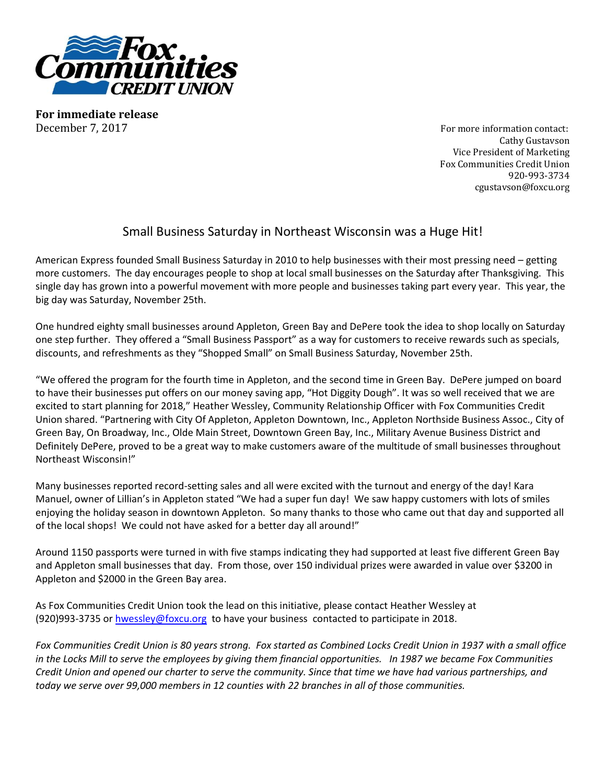

**For immediate release** December 7, 2017 **For more information contact:** 

Cathy Gustavson Vice President of Marketing Fox Communities Credit Union 920-993-3734 cgustavson@foxcu.org

## Small Business Saturday in Northeast Wisconsin was a Huge Hit!

American Express founded Small Business Saturday in 2010 to help businesses with their most pressing need – getting more customers. The day encourages people to shop at local small businesses on the Saturday after Thanksgiving. This single day has grown into a powerful movement with more people and businesses taking part every year. This year, the big day was Saturday, November 25th.

One hundred eighty small businesses around Appleton, Green Bay and DePere took the idea to shop locally on Saturday one step further. They offered a "Small Business Passport" as a way for customers to receive rewards such as specials, discounts, and refreshments as they "Shopped Small" on Small Business Saturday, November 25th.

"We offered the program for the fourth time in Appleton, and the second time in Green Bay. DePere jumped on board to have their businesses put offers on our money saving app, "Hot Diggity Dough". It was so well received that we are excited to start planning for 2018," Heather Wessley, Community Relationship Officer with Fox Communities Credit Union shared. "Partnering with City Of Appleton, Appleton Downtown, Inc., Appleton Northside Business Assoc., City of Green Bay, On Broadway, Inc., Olde Main Street, Downtown Green Bay, Inc., Military Avenue Business District and Definitely DePere, proved to be a great way to make customers aware of the multitude of small businesses throughout Northeast Wisconsin!"

Many businesses reported record-setting sales and all were excited with the turnout and energy of the day! Kara Manuel, owner of Lillian's in Appleton stated "We had a super fun day! We saw happy customers with lots of smiles enjoying the holiday season in downtown Appleton. So many thanks to those who came out that day and supported all of the local shops! We could not have asked for a better day all around!"

Around 1150 passports were turned in with five stamps indicating they had supported at least five different Green Bay and Appleton small businesses that day. From those, over 150 individual prizes were awarded in value over \$3200 in Appleton and \$2000 in the Green Bay area.

As Fox Communities Credit Union took the lead on this initiative, please contact Heather Wessley at (920)993-3735 o[r hwessley@foxcu.org](mailto:hwessley@foxcu.org) to have your business contacted to participate in 2018.

*Fox Communities Credit Union is 80 years strong. Fox started as Combined Locks Credit Union in 1937 with a small office in the Locks Mill to serve the employees by giving them financial opportunities. In 1987 we became Fox Communities Credit Union and opened our charter to serve the community. Since that time we have had various partnerships, and today we serve over 99,000 members in 12 counties with 22 branches in all of those communities.*